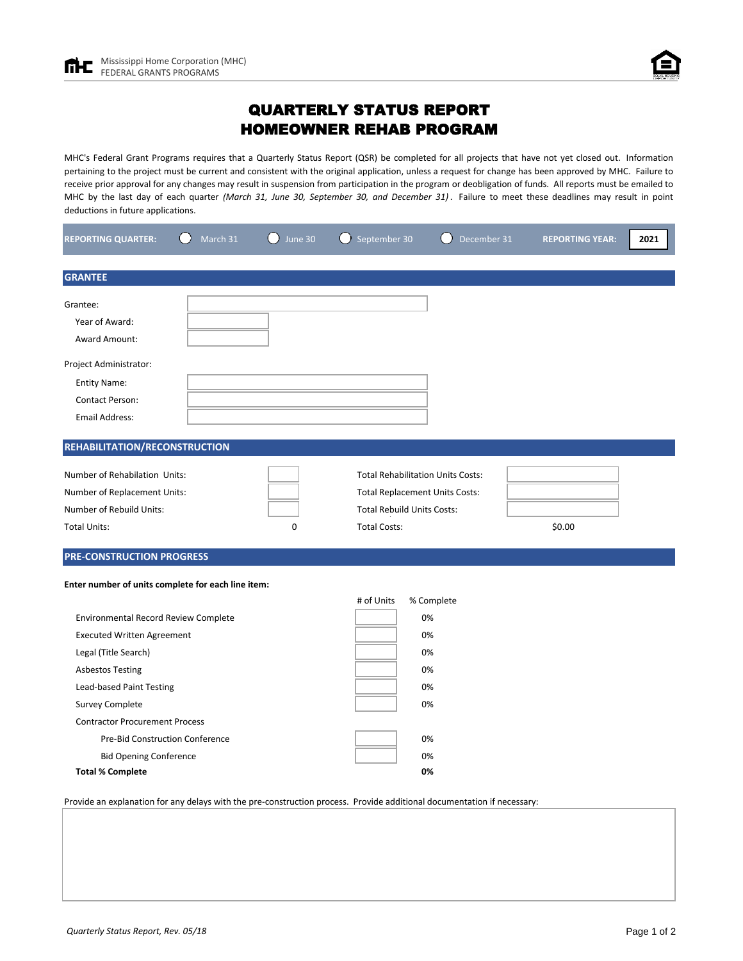# QUARTERLY STATUS REPORT HOMEOWNER REHAB PROGRAM

MHC's Federal Grant Programs requires that a Quarterly Status Report (QSR) be completed for all projects that have not yet closed out. Information pertaining to the project must be current and consistent with the original application, unless a request for change has been approved by MHC. Failure to receive prior approval for any changes may result in suspension from participation in the program or deobligation of funds. All reports must be emailed to MHC by the last day of each quarter *(March 31, June 30, September 30, and December 31)* . Failure to meet these deadlines may result in point deductions in future applications.

| <b>REPORTING QUARTER:</b>                                                                                                                                                                                                                                                                                                  | March 31 | June 30 | September 30                                                                                                                                  | December 31                                        | <b>REPORTING YEAR:</b> | 2021 |
|----------------------------------------------------------------------------------------------------------------------------------------------------------------------------------------------------------------------------------------------------------------------------------------------------------------------------|----------|---------|-----------------------------------------------------------------------------------------------------------------------------------------------|----------------------------------------------------|------------------------|------|
| <b>GRANTEE</b>                                                                                                                                                                                                                                                                                                             |          |         |                                                                                                                                               |                                                    |                        |      |
| Grantee:<br>Year of Award:<br>Award Amount:                                                                                                                                                                                                                                                                                |          |         |                                                                                                                                               |                                                    |                        |      |
| Project Administrator:<br><b>Entity Name:</b><br><b>Contact Person:</b><br><b>Email Address:</b>                                                                                                                                                                                                                           |          |         |                                                                                                                                               |                                                    |                        |      |
| REHABILITATION/RECONSTRUCTION                                                                                                                                                                                                                                                                                              |          |         |                                                                                                                                               |                                                    |                        |      |
| Number of Rehabilation Units:<br>Number of Replacement Units:<br>Number of Rebuild Units:<br><b>Total Units:</b>                                                                                                                                                                                                           |          | 0       | <b>Total Rehabilitation Units Costs:</b><br><b>Total Replacement Units Costs:</b><br><b>Total Rebuild Units Costs:</b><br><b>Total Costs:</b> |                                                    | \$0.00                 |      |
| <b>PRE-CONSTRUCTION PROGRESS</b>                                                                                                                                                                                                                                                                                           |          |         |                                                                                                                                               |                                                    |                        |      |
| Enter number of units complete for each line item:                                                                                                                                                                                                                                                                         |          |         | # of Units                                                                                                                                    | % Complete                                         |                        |      |
| Environmental Record Review Complete<br><b>Executed Written Agreement</b><br>Legal (Title Search)<br><b>Asbestos Testing</b><br>Lead-based Paint Testing<br><b>Survey Complete</b><br><b>Contractor Procurement Process</b><br>Pre-Bid Construction Conference<br><b>Bid Opening Conference</b><br><b>Total % Complete</b> |          |         |                                                                                                                                               | 0%<br>0%<br>0%<br>0%<br>0%<br>0%<br>0%<br>0%<br>0% |                        |      |

Provide an explanation for any delays with the pre-construction process. Provide additional documentation if necessary: